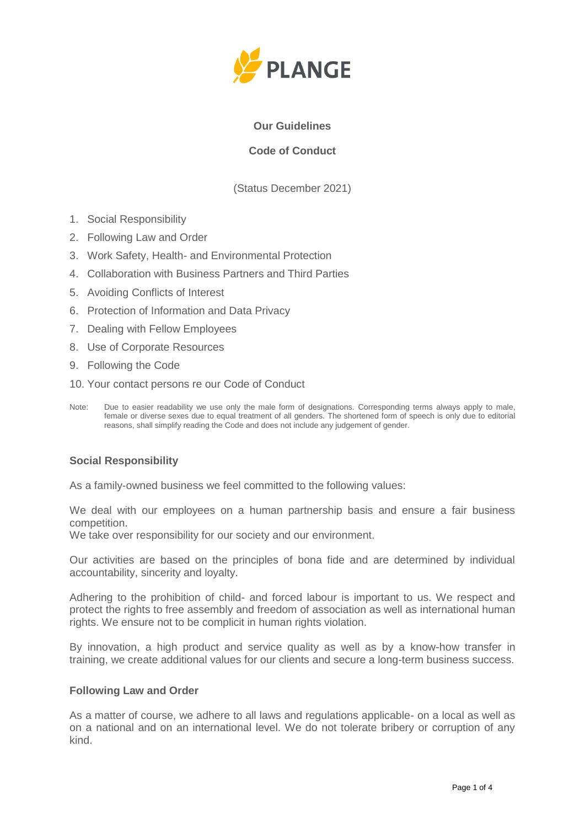

## **Our Guidelines**

# **Code of Conduct**

(Status December 2021)

- 1. Social Responsibility
- 2. Following Law and Order
- 3. Work Safety, Health- and Environmental Protection
- 4. Collaboration with Business Partners and Third Parties
- 5. Avoiding Conflicts of Interest
- 6. Protection of Information and Data Privacy
- 7. Dealing with Fellow Employees
- 8. Use of Corporate Resources
- 9. Following the Code
- 10. Your contact persons re our Code of Conduct
- Note: Due to easier readability we use only the male form of designations. Corresponding terms always apply to male, female or diverse sexes due to equal treatment of all genders. The shortened form of speech is only due to editorial reasons, shall simplify reading the Code and does not include any judgement of gender.

#### **Social Responsibility**

As a family-owned business we feel committed to the following values:

We deal with our employees on a human partnership basis and ensure a fair business competition.

We take over responsibility for our society and our environment.

Our activities are based on the principles of bona fide and are determined by individual accountability, sincerity and loyalty.

Adhering to the prohibition of child- and forced labour is important to us. We respect and protect the rights to free assembly and freedom of association as well as international human rights. We ensure not to be complicit in human rights violation.

By innovation, a high product and service quality as well as by a know-how transfer in training, we create additional values for our clients and secure a long-term business success.

#### **Following Law and Order**

As a matter of course, we adhere to all laws and regulations applicable- on a local as well as on a national and on an international level. We do not tolerate bribery or corruption of any kind.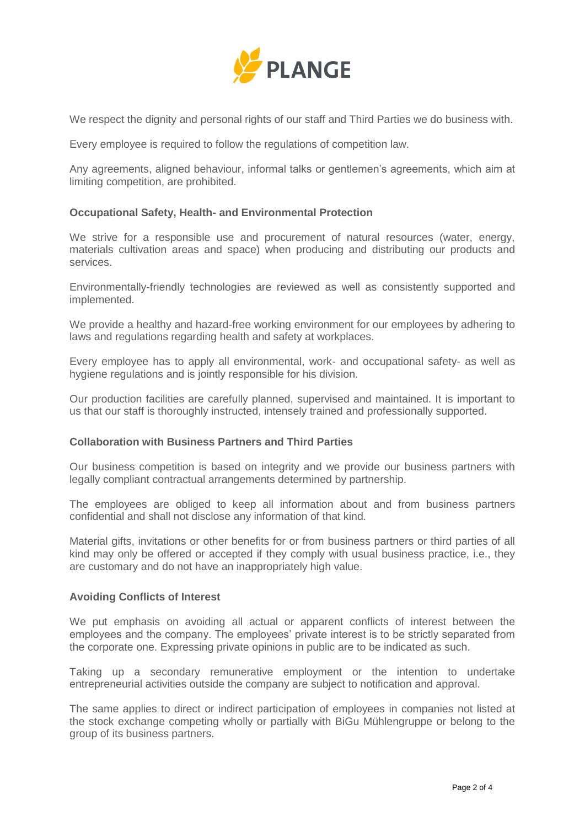

We respect the dignity and personal rights of our staff and Third Parties we do business with.

Every employee is required to follow the regulations of competition law.

Any agreements, aligned behaviour, informal talks or gentlemen's agreements, which aim at limiting competition, are prohibited.

## **Occupational Safety, Health- and Environmental Protection**

We strive for a responsible use and procurement of natural resources (water, energy, materials cultivation areas and space) when producing and distributing our products and services.

Environmentally-friendly technologies are reviewed as well as consistently supported and implemented.

We provide a healthy and hazard-free working environment for our employees by adhering to laws and regulations regarding health and safety at workplaces.

Every employee has to apply all environmental, work- and occupational safety- as well as hygiene regulations and is jointly responsible for his division.

Our production facilities are carefully planned, supervised and maintained. It is important to us that our staff is thoroughly instructed, intensely trained and professionally supported.

#### **Collaboration with Business Partners and Third Parties**

Our business competition is based on integrity and we provide our business partners with legally compliant contractual arrangements determined by partnership.

The employees are obliged to keep all information about and from business partners confidential and shall not disclose any information of that kind.

Material gifts, invitations or other benefits for or from business partners or third parties of all kind may only be offered or accepted if they comply with usual business practice, i.e., they are customary and do not have an inappropriately high value.

#### **Avoiding Conflicts of Interest**

We put emphasis on avoiding all actual or apparent conflicts of interest between the employees and the company. The employees' private interest is to be strictly separated from the corporate one. Expressing private opinions in public are to be indicated as such.

Taking up a secondary remunerative employment or the intention to undertake entrepreneurial activities outside the company are subject to notification and approval.

The same applies to direct or indirect participation of employees in companies not listed at the stock exchange competing wholly or partially with BiGu Mühlengruppe or belong to the group of its business partners.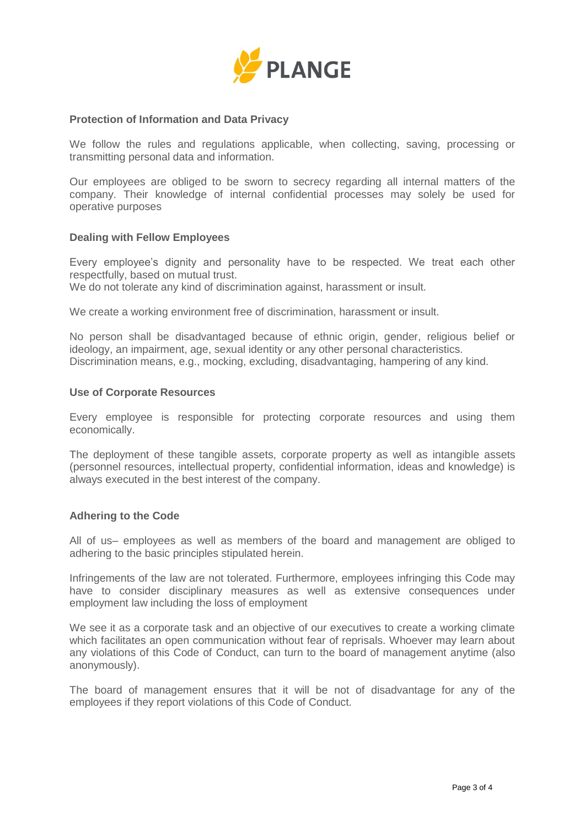

## **Protection of Information and Data Privacy**

We follow the rules and regulations applicable, when collecting, saving, processing or transmitting personal data and information.

Our employees are obliged to be sworn to secrecy regarding all internal matters of the company. Their knowledge of internal confidential processes may solely be used for operative purposes

#### **Dealing with Fellow Employees**

Every employee's dignity and personality have to be respected. We treat each other respectfully, based on mutual trust.

We do not tolerate any kind of discrimination against, harassment or insult.

We create a working environment free of discrimination, harassment or insult.

No person shall be disadvantaged because of ethnic origin, gender, religious belief or ideology, an impairment, age, sexual identity or any other personal characteristics. Discrimination means, e.g., mocking, excluding, disadvantaging, hampering of any kind.

## **Use of Corporate Resources**

Every employee is responsible for protecting corporate resources and using them economically.

The deployment of these tangible assets, corporate property as well as intangible assets (personnel resources, intellectual property, confidential information, ideas and knowledge) is always executed in the best interest of the company.

## **Adhering to the Code**

All of us– employees as well as members of the board and management are obliged to adhering to the basic principles stipulated herein.

Infringements of the law are not tolerated. Furthermore, employees infringing this Code may have to consider disciplinary measures as well as extensive consequences under employment law including the loss of employment

We see it as a corporate task and an objective of our executives to create a working climate which facilitates an open communication without fear of reprisals. Whoever may learn about any violations of this Code of Conduct, can turn to the board of management anytime (also anonymously).

The board of management ensures that it will be not of disadvantage for any of the employees if they report violations of this Code of Conduct.